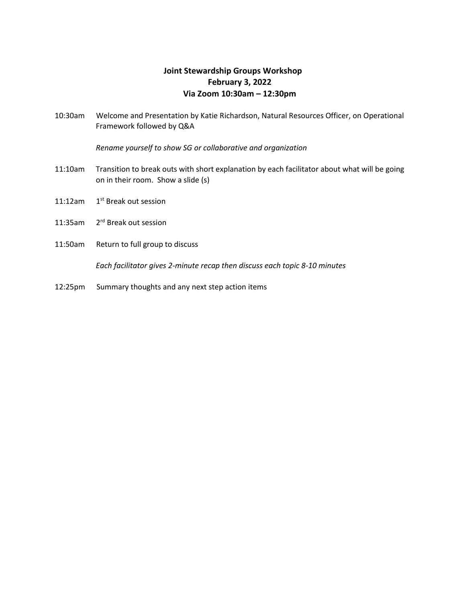## **Joint Stewardship Groups Workshop February 3, 2022 Via Zoom 10:30am – 12:30pm**

10:30am Welcome and Presentation by Katie Richardson, Natural Resources Officer, on Operational Framework followed by Q&A

*Rename yourself to show SG or collaborative and organization*

- 11:10am Transition to break outs with short explanation by each facilitator about what will be going on in their room. Show a slide (s)
- 11:12am 1<sup>st</sup> Break out session
- 11:35am 2 rd Break out session
- 11:50am Return to full group to discuss

*Each facilitator gives 2-minute recap then discuss each topic 8-10 minutes*

12:25pm Summary thoughts and any next step action items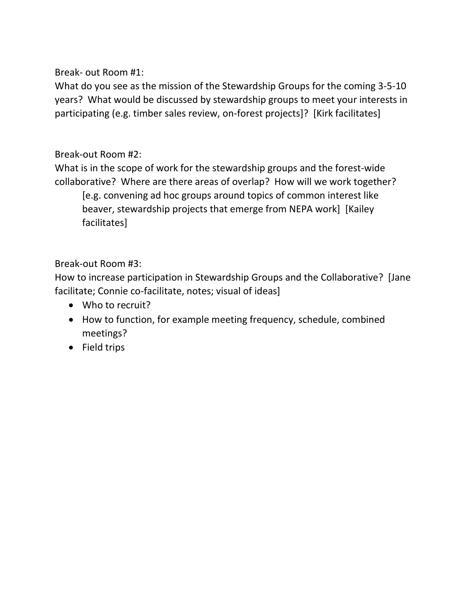Break- out Room #1:

What do you see as the mission of the Stewardship Groups for the coming 3-5-10 years? What would be discussed by stewardship groups to meet your interests in participating (e.g. timber sales review, on-forest projects]? [Kirk facilitates]

## Break-out Room #2:

What is in the scope of work for the stewardship groups and the forest-wide collaborative? Where are there areas of overlap? How will we work together? [e.g. convening ad hoc groups around topics of common interest like beaver, stewardship projects that emerge from NEPA work] [Kailey facilitates]

## Break-out Room #3:

How to increase participation in Stewardship Groups and the Collaborative? [Jane facilitate; Connie co-facilitate, notes; visual of ideas]

- Who to recruit?
- How to function, for example meeting frequency, schedule, combined meetings?
- Field trips